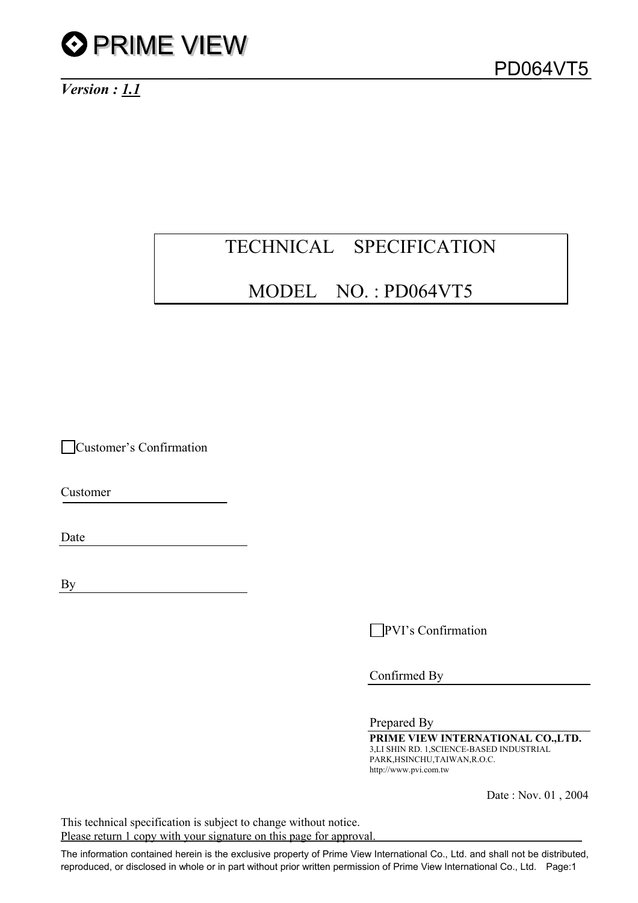

*Version : 1.1*

## TECHNICAL SPECIFICATION

### MODEL NO. : PD064VT5

Customer's Confirmation

Customer

Date

By

**PVI**'s Confirmation

Confirmed By

Prepared By

**PRIME VIEW INTERNATIONAL CO.,LTD.** 3,LI SHIN RD. 1,SCIENCE-BASED INDUSTRIAL PARK,HSINCHU,TAIWAN,R.O.C. http://www.pvi.com.tw

Date : Nov. 01 , 2004

This technical specification is subject to change without notice. Please return 1 copy with your signature on this page for approval.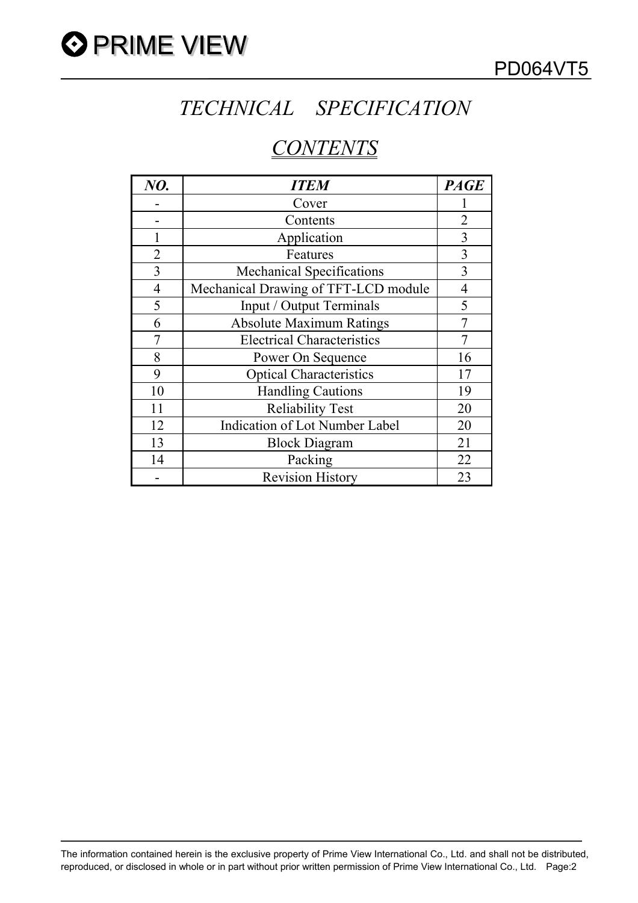

## *TECHNICAL SPECIFICATION*

## *CONTENTS*

| NO.            | <b>ITEM</b>                           | <b>PAGE</b>    |
|----------------|---------------------------------------|----------------|
|                | Cover                                 |                |
|                | Contents                              | 2              |
|                | Application                           | 3              |
| $\overline{2}$ | Features                              | 3              |
| 3              | <b>Mechanical Specifications</b>      | 3              |
| $\overline{4}$ | Mechanical Drawing of TFT-LCD module  | $\overline{4}$ |
| 5              | Input / Output Terminals              | 5              |
| 6              | <b>Absolute Maximum Ratings</b>       |                |
|                | <b>Electrical Characteristics</b>     |                |
| 8              | Power On Sequence                     | 16             |
| 9              | <b>Optical Characteristics</b>        | 17             |
| 10             | <b>Handling Cautions</b>              | 19             |
| 11             | <b>Reliability Test</b>               | 20             |
| 12             | <b>Indication of Lot Number Label</b> | 20             |
| 13             | <b>Block Diagram</b>                  | 21             |
| 14             | Packing                               | 22             |
|                | <b>Revision History</b>               | 23             |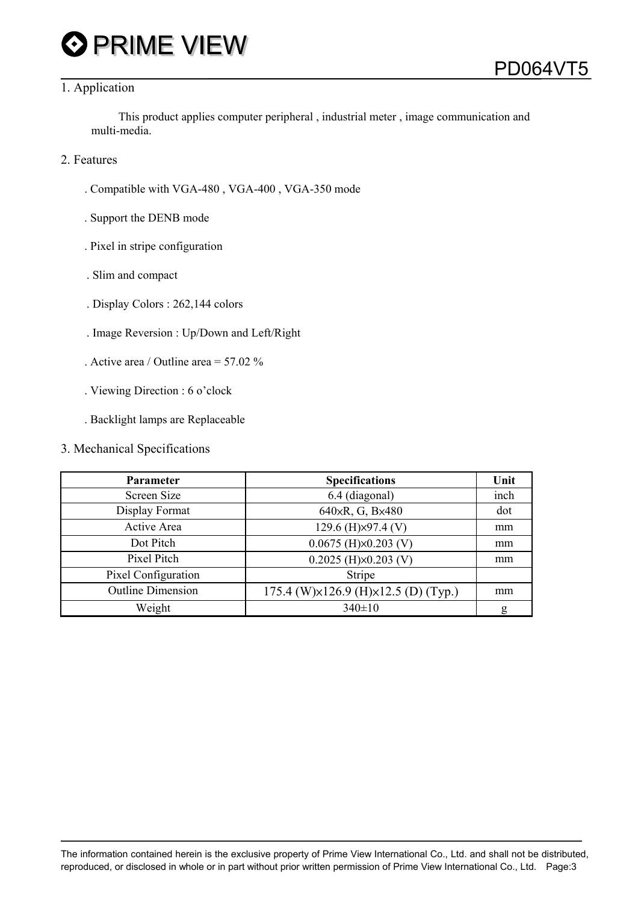## **O** PRIME VIEW

#### 1. Application

This product applies computer peripheral , industrial meter , image communication and multi-media.

- 2. Features
	- . Compatible with VGA-480 , VGA-400 , VGA-350 mode
	- . Support the DENB mode
	- . Pixel in stripe configuration
	- . Slim and compact
	- . Display Colors : 262,144 colors
	- . Image Reversion : Up/Down and Left/Right
	- . Active area / Outline area = 57.02 %
	- . Viewing Direction : 6 o'clock
	- . Backlight lamps are Replaceable

#### 3. Mechanical Specifications

| Parameter                | <b>Specifications</b>                                 | Unit |
|--------------------------|-------------------------------------------------------|------|
| Screen Size              | 6.4 (diagonal)                                        | inch |
| Display Format           | 640xR, G, Bx480                                       | dot  |
| Active Area              | 129.6 (H)×97.4 (V)                                    | mm   |
| Dot Pitch                | $0.0675$ (H) $\times$ 0.203 (V)                       | mm   |
| Pixel Pitch              | $0.2025$ (H) $\times$ 0.203 (V)                       | mm   |
| Pixel Configuration      | Stripe                                                |      |
| <b>Outline Dimension</b> | 175.4 (W) $\times$ 126.9 (H) $\times$ 12.5 (D) (Typ.) | mm   |
| Weight                   | $340 \pm 10$                                          | g    |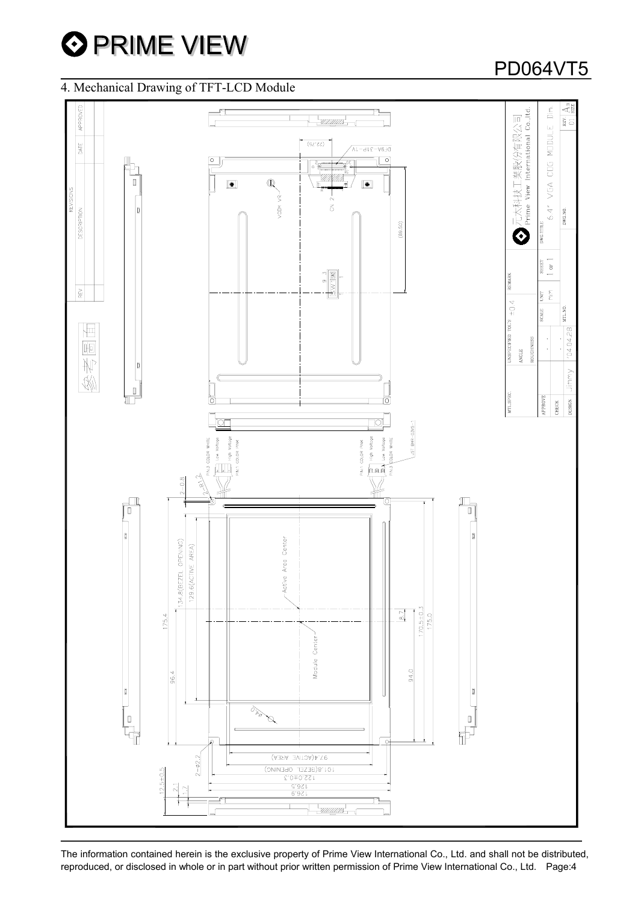

### 4. Mechanical Drawing of TFT-LCD Module

#### $\Delta$ <sup>3</sup> 元太科技工業股份有限公司<br>Prime View International Co.,Itd. APPROVED Ξ  $\frac{1}{B}$   $\frac{1}{C}$ 6.4" VGA COG MODULE  $(22.75)$ DATE  $DFGA-ATC-AV$  $\overline{\circ}$ তি  $\mathbf{Q}$  $\boxed{\blacksquare}$  $\blacksquare$ VCDM VR-REVISI  $\overline{5}$ DWG.NO. DESCRIPTION  $(89.50)$ DWG.TITLE  $\ddot{\mathbf{O}}$ янет<br/>  $1$  or  $1\,$  $\frac{9}{5}$   $\frac{3}{2}$ **TEMARK** REV  $\frac{\epsilon}{\epsilon}$ **E** rous  $\pm 0.4$ **CTLNO** CALLE 椢  $04.04.28$ **UNSPECIFIED** 陋 ROUGHN ANGLE 朴 Jimmy  $\frac{1}{2}$  $\begin{matrix} \end{matrix}$ **CTL.SPEC APPROVE** ద్ **ESIGN HECK** JST BHR-03VS-1 Voltage Ë COLOR High<br>COLOR COLOR PIN:3 COLOR  $\sim$  $\frac{6}{10}$  $\mathsf{Low}$  $\sqrt{2}$ **And**?  $\frac{1}{2}$  $\frac{2}{3}$  $2 - 0.8$  $\mathbb{P}$  $|_{\scriptscriptstyle \rm I\hspace{-0.25mm}I}$ Area Center 34.8(BEZEL OPENING) 129 6(ACTIVE AREA) Active  $\overline{5}$  $170.5 \pm 0.1$  $175.4$ Module Center 94.0  $36.4$ 0  $\overline{\circ_{\lambda_\theta}}$  $\begin{bmatrix} 1 \\ -1 \\ 1 \\ -1 \end{bmatrix}$  $\begin{array}{c} \blacksquare \end{array}$ Þ 97.4(ACTIVE AREA)  $2 - 02.2$ 101.8(BEZEL OPENING)  $5 + 0.5$  $rac{97}{6.97}$

The information contained herein is the exclusive property of Prime View International Co., Ltd. and shall not be distributed, reproduced, or disclosed in whole or in part without prior written permission of Prime View International Co., Ltd. Page:4

## PD064VT5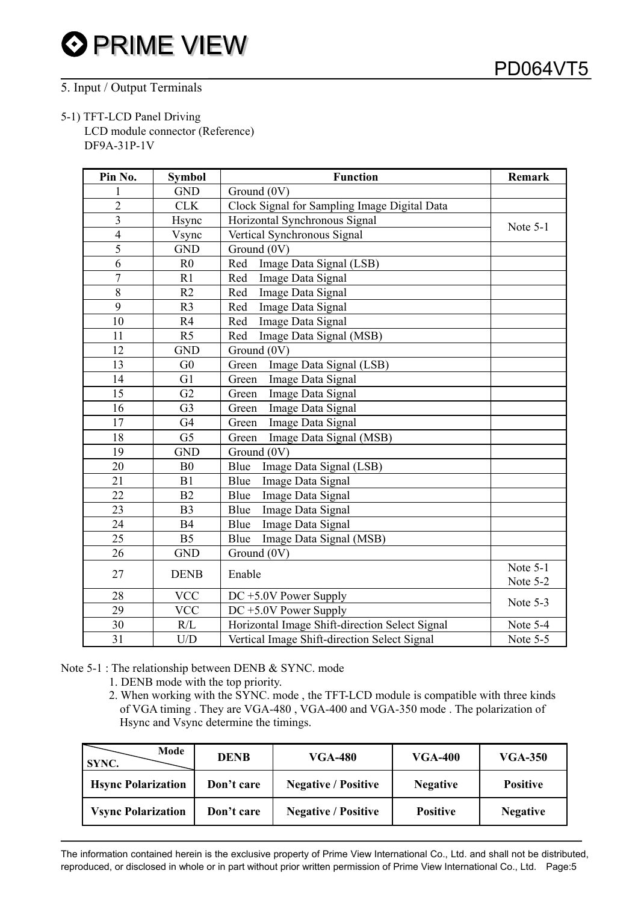#### 5. Input / Output Terminals

#### 5-1) TFT-LCD Panel Driving

LCD module connector (Reference) DF9A-31P-1V

| Pin No.        | <b>Symbol</b>  | <b>Function</b>                                | Remark   |
|----------------|----------------|------------------------------------------------|----------|
|                | <b>GND</b>     | Ground (0V)                                    |          |
| $\overline{2}$ | <b>CLK</b>     | Clock Signal for Sampling Image Digital Data   |          |
| $\overline{3}$ | Hsync          | Horizontal Synchronous Signal                  | Note 5-1 |
| $\overline{4}$ | Vsync          | Vertical Synchronous Signal                    |          |
| 5              | <b>GND</b>     | Ground (0V)                                    |          |
| 6              | R <sub>0</sub> | Image Data Signal (LSB)<br>Red                 |          |
| $\overline{7}$ | R1             | Red<br>Image Data Signal                       |          |
| 8              | R2             | Red<br>Image Data Signal                       |          |
| 9              | R <sub>3</sub> | Image Data Signal<br>Red                       |          |
| 10             | R4             | Image Data Signal<br>Red                       |          |
| 11             | R <sub>5</sub> | Image Data Signal (MSB)<br>Red                 |          |
| 12             | <b>GND</b>     | Ground (0V)                                    |          |
| 13             | G <sub>0</sub> | Image Data Signal (LSB)<br>Green               |          |
| 14             | G1             | Green<br>Image Data Signal                     |          |
| 15             | G2             | Image Data Signal<br>Green                     |          |
| 16             | G <sub>3</sub> | Image Data Signal<br>Green                     |          |
| 17             | G <sub>4</sub> | Image Data Signal<br>Green                     |          |
| 18             | G <sub>5</sub> | Image Data Signal (MSB)<br>Green               |          |
| 19             | <b>GND</b>     | Ground (0V)                                    |          |
| 20             | B <sub>0</sub> | Blue<br>Image Data Signal (LSB)                |          |
| 21             | B1             | Blue<br>Image Data Signal                      |          |
| 22             | B2             | Image Data Signal<br>Blue                      |          |
| 23             | B <sub>3</sub> | Blue<br>Image Data Signal                      |          |
| 24             | <b>B4</b>      | Image Data Signal<br>Blue                      |          |
| 25             | B <sub>5</sub> | Blue<br>Image Data Signal (MSB)                |          |
| 26             | <b>GND</b>     | Ground (0V)                                    |          |
| 27             | <b>DENB</b>    | Enable                                         | Note 5-1 |
|                |                |                                                | Note 5-2 |
| 28             | <b>VCC</b>     | $DC + 5.0V$ Power Supply                       | Note 5-3 |
| 29             | <b>VCC</b>     | $DC + 5.0V$ Power Supply                       |          |
| 30             | R/L            | Horizontal Image Shift-direction Select Signal | Note 5-4 |
| 31             | U/D            | Vertical Image Shift-direction Select Signal   | Note 5-5 |

Note 5-1 : The relationship between DENB & SYNC. mode

1. DENB mode with the top priority.

2. When working with the SYNC. mode , the TFT-LCD module is compatible with three kinds of VGA timing . They are VGA-480 , VGA-400 and VGA-350 mode . The polarization of Hsync and Vsync determine the timings.

| Mode<br>SYNC.              | <b>DENB</b> | VGA-480                    | VGA-400         | VGA-350         |  |
|----------------------------|-------------|----------------------------|-----------------|-----------------|--|
| <b>H</b> sync Polarization | Don't care  | <b>Negative / Positive</b> | <b>Negative</b> | <b>Positive</b> |  |
| <b>Vsync Polarization</b>  | Don't care  | <b>Negative / Positive</b> | <b>Positive</b> | <b>Negative</b> |  |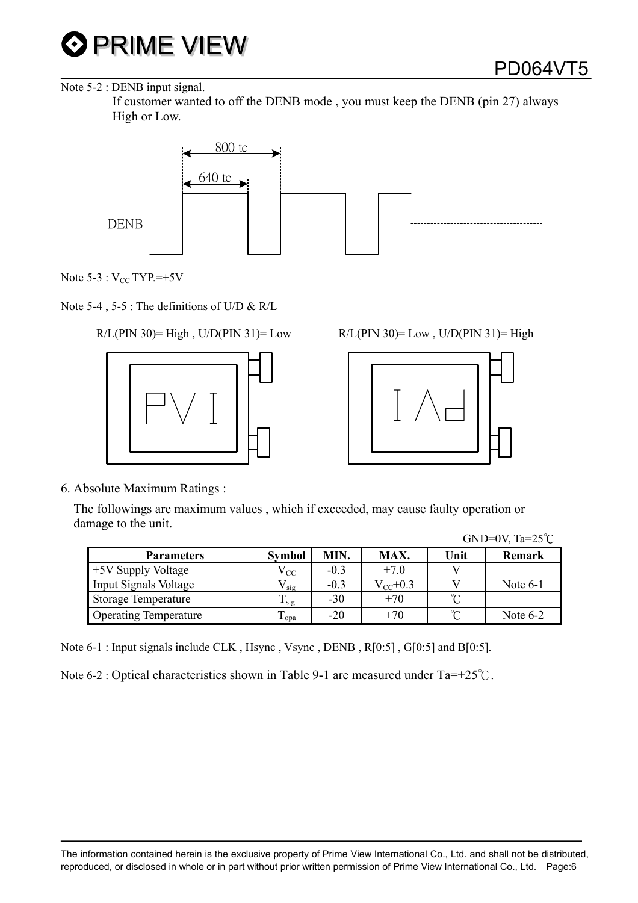

#### Note 5-2 : DENB input signal.

 If customer wanted to off the DENB mode , you must keep the DENB (pin 27) always High or Low.



Note  $5-3:V_{CC}$  TYP.=+5V

Note 5-4 , 5-5 : The definitions of U/D & R/L

#### $R/L(PIN 30)$ = High, U/D(PIN 31)= Low



| $R/L(PIN 30)=Low$ , $U/D(PIN 31)=High$ |  |  |
|----------------------------------------|--|--|
|----------------------------------------|--|--|



6. Absolute Maximum Ratings :

 The followings are maximum values , which if exceeded, may cause faulty operation or damage to the unit.  $GND=0V$ ,  $T_0=25^\circ C$ 

|                              |                    |        |               |        | UIND OV, $1a - 2J$ |
|------------------------------|--------------------|--------|---------------|--------|--------------------|
| <b>Parameters</b>            | <b>Symbol</b>      | MIN.   | MAX.          | Unit   | <b>Remark</b>      |
| +5V Supply Voltage           | ${\rm v_{\rm CC}}$ | $-0.3$ | $+7.0$        |        |                    |
| Input Signals Voltage        | ' sig              | $-0.3$ | $V_{CC}$ +0.3 |        | Note $6-1$         |
| <b>Storage Temperature</b>   | $\mathbf{I}$ stg   | $-30$  | $+70$         | $\sim$ |                    |
| <b>Operating Temperature</b> | $\mathbf{1}$ opa   | $-20$  | $+70$         | $\sim$ | Note $6-2$         |

Note 6-1 : Input signals include CLK , Hsync , Vsync , DENB , R[0:5] , G[0:5] and B[0:5].

Note 6-2 : Optical characteristics shown in Table 9-1 are measured under Ta=+25°C.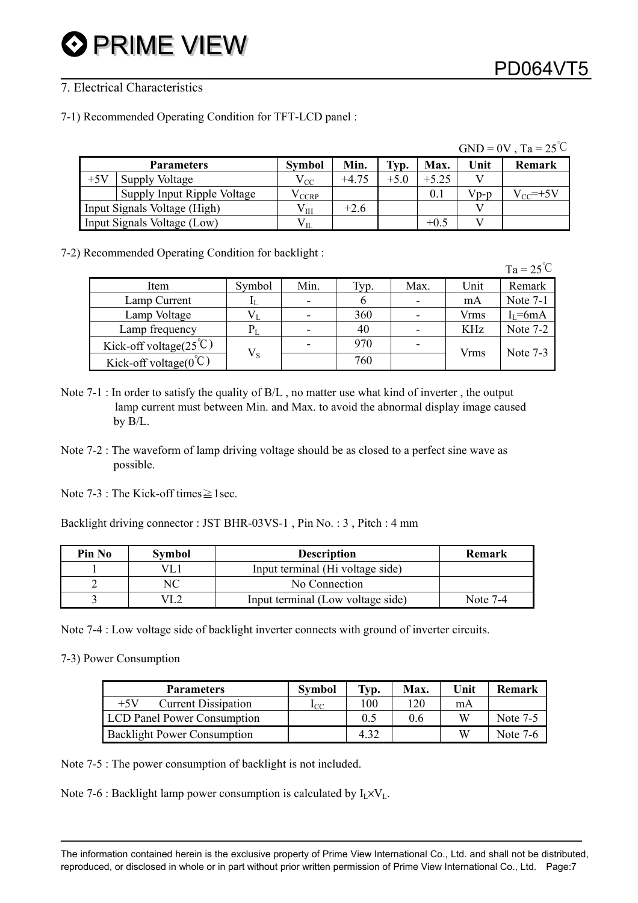#### 7. Electrical Characteristics

7-1) Recommended Operating Condition for TFT-LCD panel :

|       |                              |               |         |        |         |      | $GND = 0V$ , $Ta = 25^{\circ}C$ |
|-------|------------------------------|---------------|---------|--------|---------|------|---------------------------------|
|       | <b>Parameters</b>            | <b>Symbol</b> | Min.    | Typ.   | Max.    | Unit | <b>Remark</b>                   |
| $+5V$ | Supply Voltage               | $V_{CC}$      | $+4.75$ | $+5.0$ | $+5.25$ |      |                                 |
|       | Supply Input Ripple Voltage  | V CCRP        |         |        | 0.1     | Vp-p | $V_{CC}$ =+5V                   |
|       | Input Signals Voltage (High) | $\rm V_{IH}$  | $+2.6$  |        |         |      |                                 |
|       | Input Signals Voltage (Low)  | $\rm V_{II}$  |         |        | $+0.5$  |      |                                 |

7-2) Recommended Operating Condition for backlight :

|                                    |             |                          |       |      |      | $Ta = 25^{\circ}C$ |
|------------------------------------|-------------|--------------------------|-------|------|------|--------------------|
| Item                               | Symbol      | Min.                     | l'yp. | Max. | Unit | Remark             |
| Lamp Current                       |             | $\overline{\phantom{0}}$ | 6     |      | mA   | Note 7-1           |
| Lamp Voltage                       |             |                          | 360   |      | Vrms | $I_{L}$ =6mA       |
| Lamp frequency                     | Pт          |                          | 40    |      | KHz  | Note 7-2           |
| Kick-off voltage( $25^{\circ}$ C)  | $V_{\rm S}$ |                          | 970   |      | Vrms | Note $7-3$         |
| Kick-off voltage( $0^{\degree}$ C) |             |                          | 760   |      |      |                    |

- Note 7-1 : In order to satisfy the quality of B/L , no matter use what kind of inverter , the output lamp current must between Min. and Max. to avoid the abnormal display image caused by B/L.
- Note 7-2 : The waveform of lamp driving voltage should be as closed to a perfect sine wave as possible.
- Note 7-3 : The Kick-off times $\geq$  1sec.

Backlight driving connector : JST BHR-03VS-1 , Pin No. : 3 , Pitch : 4 mm

| Pin No | Symbol | <b>Description</b>                | Remark     |
|--------|--------|-----------------------------------|------------|
|        |        | Input terminal (Hi voltage side)  |            |
|        |        | No Connection                     |            |
|        |        | Input terminal (Low voltage side) | Note $7-4$ |

Note 7-4 : Low voltage side of backlight inverter connects with ground of inverter circuits.

7-3) Power Consumption

| <b>Parameters</b>                   | <b>Symbol</b> | Typ. | Max. | Unit | <b>Remark</b> |
|-------------------------------------|---------------|------|------|------|---------------|
| $+5V$<br><b>Current Dissipation</b> | $1_{\rm CC}$  | 100  | 120  | mA   |               |
| <b>LCD Panel Power Consumption</b>  |               | 0.5  | 0.6  | W    | Note 7-5      |
| <b>Backlight Power Consumption</b>  |               | 4 32 |      | W    | Note 7-6      |

Note 7-5 : The power consumption of backlight is not included.

Note 7-6 : Backlight lamp power consumption is calculated by  $I_1 \times V_1$ .

The information contained herein is the exclusive property of Prime View International Co., Ltd. and shall not be distributed, reproduced, or disclosed in whole or in part without prior written permission of Prime View International Co., Ltd. Page:7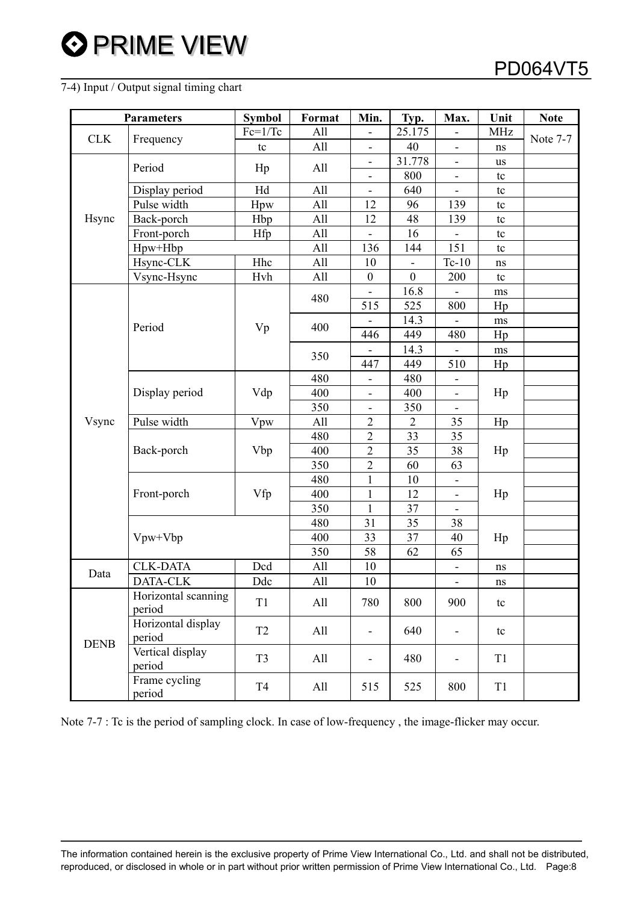#### 7-4) Input / Output signal timing chart

|             | <b>Parameters</b>             | <b>Symbol</b>  | Format | Min.                         | Typ.             | Max.                     | Unit           | <b>Note</b> |
|-------------|-------------------------------|----------------|--------|------------------------------|------------------|--------------------------|----------------|-------------|
| <b>CLK</b>  | Frequency                     | $Fc=1/Tc$      | All    | $\overline{\phantom{0}}$     | 25.175           |                          | MHz            | Note 7-7    |
|             |                               | tc             | All    | $\overline{\phantom{0}}$     | 40               | $\overline{\phantom{a}}$ | ns             |             |
|             | Period                        |                | All    | -                            | 31.778           | $\overline{\phantom{0}}$ | <b>us</b>      |             |
|             |                               | Hp             |        | ۰                            | 800              | $\overline{\phantom{a}}$ | tc             |             |
|             | Display period                | Hd             | All    |                              | 640              |                          | tc             |             |
|             | Pulse width                   | Hpw            | All    | 12                           | 96               | 139                      | tc             |             |
| Hsync       | Back-porch                    | Hbp            | All    | 12                           | 48               | 139                      | tc             |             |
|             | Front-porch                   | Hfp            | All    | $\overline{\phantom{0}}$     | 16               |                          | tc             |             |
|             | $Hpw+Hbp$                     |                | All    | 136                          | 144              | 151                      | tc             |             |
|             | Hsync-CLK                     | Hhc            | All    | 10                           | $\blacksquare$   | $Tc-10$                  | ns             |             |
|             | Vsync-Hsync                   | Hvh            | All    | $\boldsymbol{0}$             | $\boldsymbol{0}$ | 200                      | tc             |             |
|             |                               |                | 480    |                              | 16.8             |                          | ms             |             |
|             |                               |                |        | 515                          | 525              | 800                      | Hp             |             |
|             | Period                        | Vp             | 400    | $\qquad \qquad \blacksquare$ | 14.3             |                          | ms             |             |
|             |                               |                |        | 446                          | 449              | 480                      | Hp             |             |
|             |                               |                | 350    |                              | 14.3             |                          | ms             |             |
|             |                               |                |        | 447                          | 449              | 510                      | Hp             |             |
|             |                               |                | 480    | $\overline{\phantom{0}}$     | 480              | $\overline{\phantom{0}}$ |                |             |
|             | Display period                | Vdp            | 400    | $\blacksquare$               | 400              | ÷,                       | Hp             |             |
|             |                               |                | 350    | $\frac{1}{2}$                | 350              |                          |                |             |
| Vsync       | Pulse width                   | Vpw            | All    | $\overline{2}$               | $\overline{2}$   | 35                       | Hp             |             |
|             |                               |                | 480    | $\sqrt{2}$                   | 33               | 35                       |                |             |
|             | Back-porch                    | Vbp            | 400    | $\overline{2}$               | 35               | 38                       | Hp             |             |
|             |                               |                | 350    | $\overline{2}$               | 60               | 63                       |                |             |
|             |                               |                | 480    | $\mathbf{1}$                 | 10               | $\overline{\phantom{0}}$ |                |             |
|             | Front-porch                   | Vfp            | 400    | $\mathbf{1}$                 | 12               | $\overline{\phantom{a}}$ | Hp             |             |
|             |                               |                | 350    | $\mathbf{1}$                 | 37               | $\overline{\phantom{0}}$ |                |             |
|             |                               |                | 480    | 31                           | 35               | 38                       |                |             |
|             | Vpw+Vbp                       |                | 400    | 33                           | 37               | 40                       | Hp             |             |
|             |                               |                | 350    | 58                           | 62               | 65                       |                |             |
| Data        | <b>CLK-DATA</b>               | Dcd            | All    | 10                           |                  |                          | $\rm ns$       |             |
|             | DATA-CLK                      | Ddc            | All    | 10                           |                  | $\overline{\phantom{0}}$ | ns             |             |
|             | Horizontal scanning<br>period | T1             | All    | 780                          | 800              | 900                      | tc             |             |
|             | Horizontal display<br>period  | T <sub>2</sub> | All    | $\overline{\phantom{a}}$     | 640              | $\blacksquare$           | tc             |             |
| <b>DENB</b> | Vertical display<br>period    | T <sub>3</sub> | All    |                              | 480              |                          | T <sub>1</sub> |             |
|             | Frame cycling<br>period       | T <sub>4</sub> | All    | 515                          | 525              | 800                      | T1             |             |

Note 7-7 : Tc is the period of sampling clock. In case of low-frequency , the image-flicker may occur.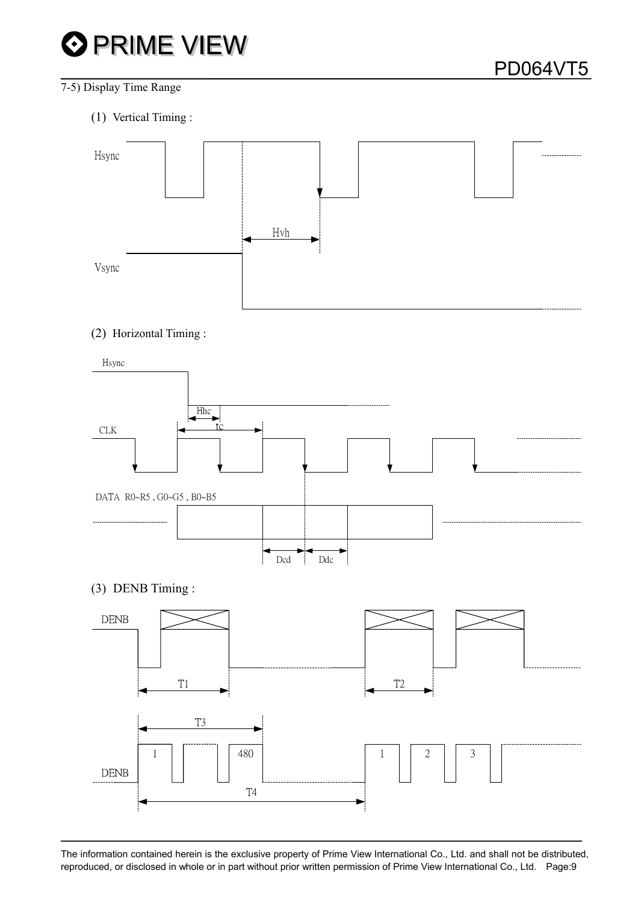

#### 7-5) Display Time Range

(1) Vertical Timing :



#### (2) Horizontal Timing :



(3) DENB Timing :

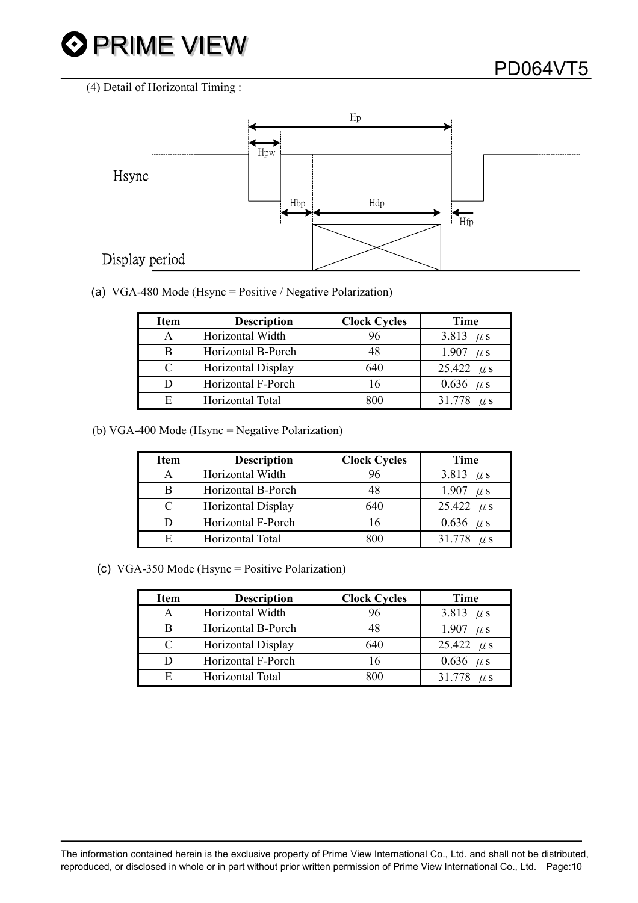

(4) Detail of Horizontal Timing :



(a) VGA-480 Mode (Hsync = Positive / Negative Polarization)

| <b>Item</b> | <b>Description</b>        | <b>Clock Cycles</b> | <b>Time</b>    |
|-------------|---------------------------|---------------------|----------------|
| А           | Horizontal Width          |                     | 3.813 $\mu$ s  |
| B           | Horizontal B-Porch        |                     | 1.907 $\mu$ s  |
| C           | <b>Horizontal Display</b> | 640                 | 25.422 $\mu$ s |
| D           | Horizontal F-Porch        | 16                  | 0.636 $\mu$ s  |
| E           | Horizontal Total          | 800                 | 31.778 $\mu$ s |

(b) VGA-400 Mode (Hsync = Negative Polarization)

| <b>Item</b> | <b>Description</b>        | <b>Clock Cycles</b> | Time           |
|-------------|---------------------------|---------------------|----------------|
| A           | Horizontal Width          | 96                  | 3.813 $\mu$ s  |
| B           | Horizontal B-Porch        | 48                  | 1.907 $\mu$ s  |
| C           | <b>Horizontal Display</b> | 640                 | 25.422 $\mu$ s |
|             | Horizontal F-Porch        |                     | 0.636 $\mu$ s  |
| E           | Horizontal Total          |                     | 31.778 $\mu$ s |

(c) VGA-350 Mode (Hsync = Positive Polarization)

| <b>Item</b>   | <b>Description</b> | <b>Clock Cycles</b> | Time           |  |  |
|---------------|--------------------|---------------------|----------------|--|--|
| A             | Horizontal Width   |                     | 3.813 $\mu$ s  |  |  |
| B             | Horizontal B-Porch |                     | 1.907 $\mu$ s  |  |  |
| $\mathcal{C}$ | Horizontal Display | 640                 | 25.422 $\mu$ s |  |  |
| D             | Horizontal F-Porch | 16                  | 0.636 $\mu$ s  |  |  |
| E             | Horizontal Total   | 800                 | 31.778 $\mu$ s |  |  |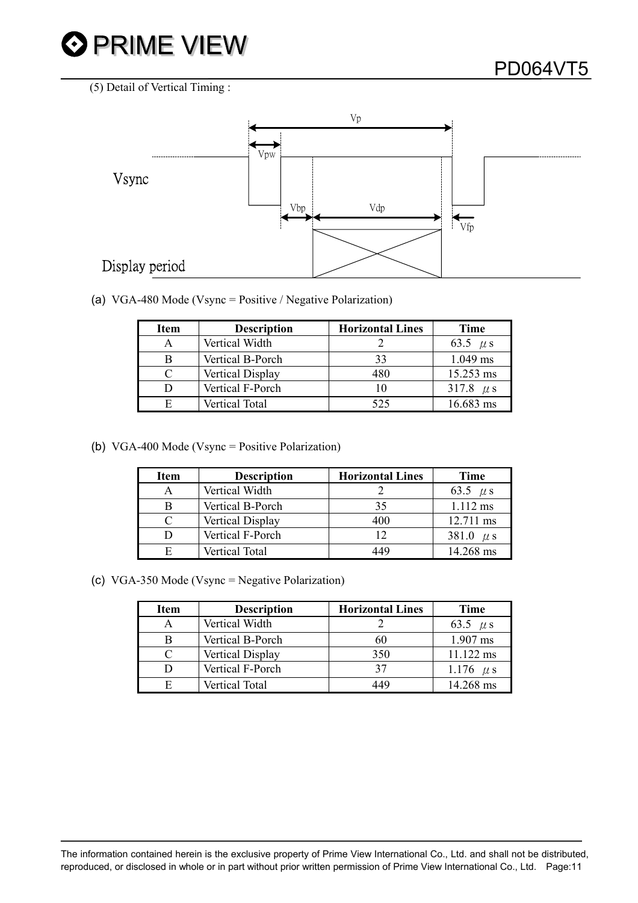



(a) VGA-480 Mode (Vsync = Positive / Negative Polarization)

| <b>Item</b> | <b>Description</b>    | <b>Horizontal Lines</b> | Time          |
|-------------|-----------------------|-------------------------|---------------|
| А           | Vertical Width        |                         | 63.5 $\mu$ s  |
| B           | Vertical B-Porch      | 33                      | 1.049 ms      |
|             | Vertical Display      | 480                     | 15.253 ms     |
| D           | Vertical F-Porch      | 10                      | 317.8 $\mu$ s |
| F           | <b>Vertical Total</b> | 525                     | 16.683 ms     |

(b) VGA-400 Mode (Vsync = Positive Polarization)

| <b>Item</b>                 | <b>Description</b> | <b>Horizontal Lines</b> | Time          |
|-----------------------------|--------------------|-------------------------|---------------|
| А                           | Vertical Width     |                         | 63.5 $\mu$ s  |
| В                           | Vertical B-Porch   | 35                      | $1.112$ ms    |
| $\mathcal{C}_{\mathcal{C}}$ | Vertical Display   | 400                     | 12.711 ms     |
| D                           | Vertical F-Porch   | 12                      | 381.0 $\mu$ s |
| F                           | Vertical Total     | 449                     | 14.268 ms     |

(c) VGA-350 Mode (Vsync = Negative Polarization)

| <b>Item</b> | <b>Description</b>    | <b>Horizontal Lines</b> | Time          |
|-------------|-----------------------|-------------------------|---------------|
|             | Vertical Width        |                         | 63.5 $\mu$ s  |
| В           | Vertical B-Porch      | 60                      | 1.907 ms      |
|             | Vertical Display      | 350                     | 11.122 ms     |
|             | Vertical F-Porch      | 37                      | 1.176 $\mu$ s |
| F           | <b>Vertical Total</b> | 449                     | 14.268 ms     |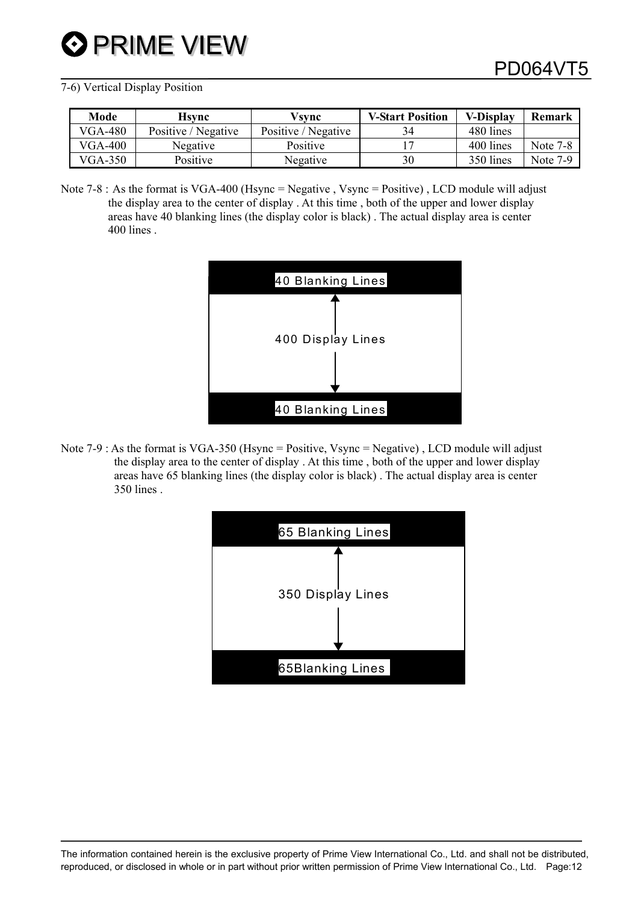#### 7-6) Vertical Display Position

| Mode           | Hsvnc               | Vsvnc               | <b>V-Start Position</b> | <b>V-Display</b> | Remark          |
|----------------|---------------------|---------------------|-------------------------|------------------|-----------------|
| <b>VGA-480</b> | Positive / Negative | Positive / Negative | 34                      | 480 lines        |                 |
| <b>VGA-400</b> | Negative            | Positive            |                         | 400 lines        | <b>Note 7-8</b> |
| $VGA-350$      | Positive            | Negative            | 30                      | 350 lines        | Note 7-9        |

Note 7-8 : As the format is VGA-400 (Hsync = Negative , Vsync = Positive) , LCD module will adjust the display area to the center of display . At this time , both of the upper and lower display areas have 40 blanking lines (the display color is black) . The actual display area is center 400 lines .



Note 7-9 : As the format is VGA-350 (Hsync = Positive, Vsync = Negative) , LCD module will adjust the display area to the center of display . At this time , both of the upper and lower display areas have 65 blanking lines (the display color is black) . The actual display area is center 350 lines .

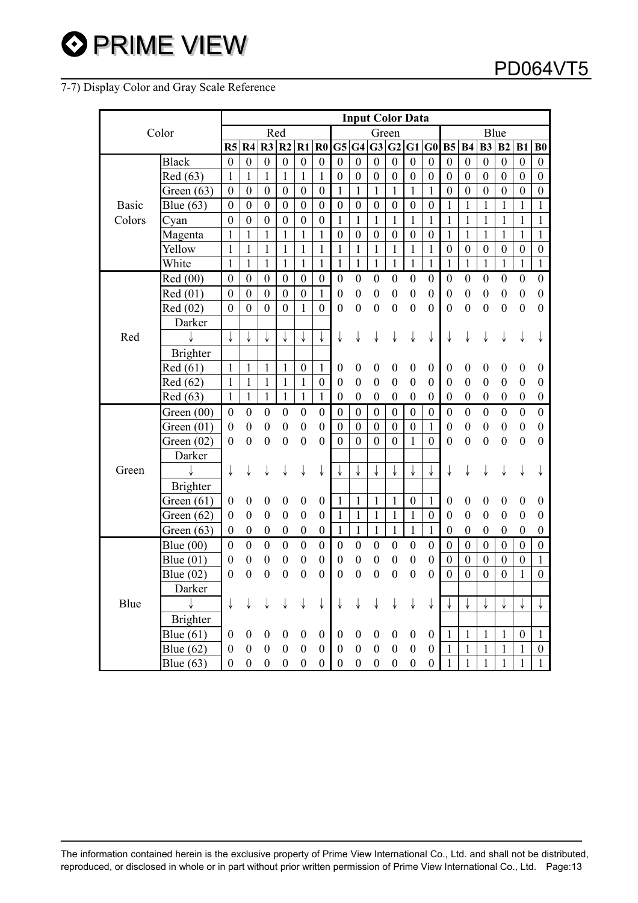#### 7-7) Display Color and Gray Scale Reference

| Color        |                 |                  |                  |                  |                  |                  |                          |                  |                  |                  | <b>Input Color Data</b> |                  |                  |                  |                  |                  |                  |                  |                  |
|--------------|-----------------|------------------|------------------|------------------|------------------|------------------|--------------------------|------------------|------------------|------------------|-------------------------|------------------|------------------|------------------|------------------|------------------|------------------|------------------|------------------|
|              |                 |                  |                  |                  | Red              |                  |                          |                  |                  |                  | Green                   |                  |                  |                  |                  |                  | Blue             |                  |                  |
|              |                 |                  | R4               | $R3$ $R2$        |                  | R1               | $\overline{\mathbf{R0}}$ | G5 G4            |                  |                  | G3 G2 G1                |                  | $\bf G0$         | B5               | <b>B4</b>        | B3               | B <sub>2</sub>   | B1               | B <sub>0</sub>   |
|              | <b>Black</b>    | $\boldsymbol{0}$ | $\boldsymbol{0}$ | $\boldsymbol{0}$ | $\boldsymbol{0}$ | $\boldsymbol{0}$ | $\boldsymbol{0}$         | $\boldsymbol{0}$ | $\boldsymbol{0}$ | $\boldsymbol{0}$ | $\boldsymbol{0}$        | $\boldsymbol{0}$ | $\boldsymbol{0}$ | $\boldsymbol{0}$ | $\boldsymbol{0}$ | $\boldsymbol{0}$ | $\boldsymbol{0}$ | $\boldsymbol{0}$ | $\boldsymbol{0}$ |
|              | Red (63)        | 1                | $\mathbf{1}$     | $\mathbf{1}$     | $\mathbf{1}$     | $\mathbf{1}$     | $\mathbf{1}$             | $\boldsymbol{0}$ | $\boldsymbol{0}$ | $\boldsymbol{0}$ | $\boldsymbol{0}$        | $\boldsymbol{0}$ | $\boldsymbol{0}$ | $\boldsymbol{0}$ | $\boldsymbol{0}$ | $\boldsymbol{0}$ | $\boldsymbol{0}$ | $\boldsymbol{0}$ | $\boldsymbol{0}$ |
|              | Green $(63)$    | $\boldsymbol{0}$ | $\boldsymbol{0}$ | $\boldsymbol{0}$ | $\boldsymbol{0}$ | $\boldsymbol{0}$ | $\boldsymbol{0}$         | $\mathbf{1}$     | $\mathbf{1}$     | $\mathbf{1}$     | $\mathbf{1}$            | $\mathbf{1}$     | $\mathbf{1}$     | $\boldsymbol{0}$ | $\boldsymbol{0}$ | $\boldsymbol{0}$ | $\boldsymbol{0}$ | $\boldsymbol{0}$ | $\boldsymbol{0}$ |
| <b>Basic</b> | Blue (63)       | $\mathbf{0}$     | $\mathbf{0}$     | $\theta$         | $\mathbf{0}$     | $\boldsymbol{0}$ | $\boldsymbol{0}$         | $\boldsymbol{0}$ | $\boldsymbol{0}$ | $\boldsymbol{0}$ | $\boldsymbol{0}$        | $\boldsymbol{0}$ | $\boldsymbol{0}$ | $\mathbf{1}$     | 1                | 1                | 1                | 1                | $\mathbf{1}$     |
| Colors       | Cyan            | $\mathbf{0}$     | $\boldsymbol{0}$ | $\boldsymbol{0}$ | $\boldsymbol{0}$ | $\boldsymbol{0}$ | $\boldsymbol{0}$         | 1                | $\mathbf{1}$     | 1                | 1                       | 1                | 1                | 1                | 1                | 1                | 1                | 1                | 1                |
|              | Magenta         | $\mathbf{1}$     | $\mathbf{1}$     | $\mathbf{1}$     | $\mathbf{1}$     | $\mathbf{1}$     | $\mathbf{1}$             | $\boldsymbol{0}$ | $\boldsymbol{0}$ | $\boldsymbol{0}$ | $\boldsymbol{0}$        | $\boldsymbol{0}$ | $\boldsymbol{0}$ | $\mathbf{1}$     | 1                | $\mathbf{1}$     | 1                | 1                | 1                |
|              | Yellow          | $\mathbf{1}$     | $\mathbf{1}$     | $\mathbf{1}$     | $\mathbf{1}$     | $\mathbf{1}$     | $\mathbf{1}$             | $\mathbf{1}$     | $\mathbf{1}$     | $\mathbf{1}$     | $\mathbf{1}$            | $\mathbf{1}$     | $\mathbf{1}$     | $\boldsymbol{0}$ | $\boldsymbol{0}$ | $\boldsymbol{0}$ | $\boldsymbol{0}$ | $\boldsymbol{0}$ | $\boldsymbol{0}$ |
|              | White           | $\mathbf{1}$     | $\mathbf{1}$     | 1                | 1                | 1                | 1                        | 1                | $\mathbf{1}$     | $\mathbf{1}$     | $\mathbf{1}$            | 1                | $\mathbf{1}$     | $\mathbf{1}$     | $\mathbf{1}$     | 1                | $\mathbf{1}$     | 1                | $\mathbf{1}$     |
|              | Red (00)        | $\boldsymbol{0}$ | $\boldsymbol{0}$ | $\boldsymbol{0}$ | $\boldsymbol{0}$ | $\boldsymbol{0}$ | $\boldsymbol{0}$         | $\boldsymbol{0}$ | $\boldsymbol{0}$ | $\boldsymbol{0}$ | $\boldsymbol{0}$        | $\boldsymbol{0}$ | $\boldsymbol{0}$ | $\boldsymbol{0}$ | $\boldsymbol{0}$ | $\boldsymbol{0}$ | $\boldsymbol{0}$ | $\boldsymbol{0}$ | $\boldsymbol{0}$ |
|              | Red (01)        | $\boldsymbol{0}$ | $\boldsymbol{0}$ | $\boldsymbol{0}$ | $\boldsymbol{0}$ | $\boldsymbol{0}$ | $\mathbf{1}$             | $\boldsymbol{0}$ | $\boldsymbol{0}$ | $\boldsymbol{0}$ | $\boldsymbol{0}$        | $\boldsymbol{0}$ | $\boldsymbol{0}$ | $\boldsymbol{0}$ | $\boldsymbol{0}$ | $\boldsymbol{0}$ | $\boldsymbol{0}$ | $\boldsymbol{0}$ | $\boldsymbol{0}$ |
|              | Red (02)        | $\boldsymbol{0}$ | $\overline{0}$   | $\boldsymbol{0}$ | $\mathbf{0}$     | $\mathbf{1}$     | $\overline{0}$           | $\mathbf{0}$     | $\boldsymbol{0}$ | $\boldsymbol{0}$ | $\boldsymbol{0}$        | $\boldsymbol{0}$ | $\mathbf{0}$     | $\boldsymbol{0}$ | $\boldsymbol{0}$ | $\boldsymbol{0}$ | $\boldsymbol{0}$ | $\boldsymbol{0}$ | $\overline{0}$   |
|              | Darker          |                  |                  |                  |                  |                  |                          |                  |                  |                  |                         |                  |                  |                  |                  |                  |                  |                  |                  |
| Red          |                 |                  | ↓                |                  |                  |                  |                          | ↓                |                  |                  |                         |                  |                  |                  |                  |                  |                  |                  |                  |
|              | <b>Brighter</b> |                  |                  |                  |                  |                  |                          |                  |                  |                  |                         |                  |                  |                  |                  |                  |                  |                  |                  |
|              | Red (61)        | 1                | 1                | 1                | 1                | $\boldsymbol{0}$ | 1                        | $\boldsymbol{0}$ | $\boldsymbol{0}$ | $\boldsymbol{0}$ | $\boldsymbol{0}$        | $\boldsymbol{0}$ | $\boldsymbol{0}$ | $\boldsymbol{0}$ | $\boldsymbol{0}$ | $\boldsymbol{0}$ | $\boldsymbol{0}$ | $\boldsymbol{0}$ | $\boldsymbol{0}$ |
|              | Red (62)        | 1                | 1                | 1                | $\mathbf{1}$     | $\mathbf{1}$     | $\boldsymbol{0}$         | $\boldsymbol{0}$ | $\boldsymbol{0}$ | $\boldsymbol{0}$ | $\boldsymbol{0}$        | $\boldsymbol{0}$ | $\boldsymbol{0}$ | $\boldsymbol{0}$ | $\boldsymbol{0}$ | $\boldsymbol{0}$ | $\boldsymbol{0}$ | $\boldsymbol{0}$ | $\boldsymbol{0}$ |
|              | Red (63)        | 1                | $\mathbf{1}$     | $\mathbf{1}$     | $\mathbf{1}$     | $\mathbf{1}$     | $\mathbf{1}$             | $\boldsymbol{0}$ | $\boldsymbol{0}$ | $\boldsymbol{0}$ | $\boldsymbol{0}$        | $\boldsymbol{0}$ | $\boldsymbol{0}$ | $\boldsymbol{0}$ | $\boldsymbol{0}$ | $\boldsymbol{0}$ | $\boldsymbol{0}$ | $\boldsymbol{0}$ | $\boldsymbol{0}$ |
|              | Green (00)      | $\boldsymbol{0}$ | $\boldsymbol{0}$ | $\boldsymbol{0}$ | $\boldsymbol{0}$ | $\boldsymbol{0}$ | $\boldsymbol{0}$         | $\boldsymbol{0}$ | $\boldsymbol{0}$ | $\boldsymbol{0}$ | $\boldsymbol{0}$        | $\boldsymbol{0}$ | $\boldsymbol{0}$ | $\boldsymbol{0}$ | $\boldsymbol{0}$ | $\boldsymbol{0}$ | $\boldsymbol{0}$ | $\boldsymbol{0}$ | $\boldsymbol{0}$ |
|              | Green $(01)$    | $\boldsymbol{0}$ | $\boldsymbol{0}$ | $\boldsymbol{0}$ | $\boldsymbol{0}$ | $\boldsymbol{0}$ | $\boldsymbol{0}$         | $\boldsymbol{0}$ | $\boldsymbol{0}$ | $\boldsymbol{0}$ | $\boldsymbol{0}$        | $\boldsymbol{0}$ | $\mathbf{1}$     | $\boldsymbol{0}$ | $\boldsymbol{0}$ | $\boldsymbol{0}$ | $\boldsymbol{0}$ | $\boldsymbol{0}$ | $\boldsymbol{0}$ |
|              | Green $(02)$    | $\boldsymbol{0}$ | $\boldsymbol{0}$ | $\boldsymbol{0}$ | $\boldsymbol{0}$ | $\boldsymbol{0}$ | $\boldsymbol{0}$         | $\mathbf{0}$     | $\overline{0}$   | $\boldsymbol{0}$ | $\overline{0}$          | $\mathbf{1}$     | $\mathbf{0}$     | $\boldsymbol{0}$ | $\mathbf{0}$     | $\boldsymbol{0}$ | $\boldsymbol{0}$ | $\boldsymbol{0}$ | $\boldsymbol{0}$ |
|              | Darker          |                  |                  |                  |                  |                  |                          |                  |                  |                  |                         |                  |                  |                  |                  |                  |                  |                  |                  |
| Green        |                 | ↓                | ↓                |                  |                  |                  | ↓                        |                  |                  |                  |                         |                  |                  |                  |                  |                  |                  |                  |                  |
|              | <b>Brighter</b> |                  |                  |                  |                  |                  |                          |                  |                  |                  |                         |                  |                  |                  |                  |                  |                  |                  |                  |
|              | Green $(61)$    | $\boldsymbol{0}$ | $\boldsymbol{0}$ | $\boldsymbol{0}$ | $\boldsymbol{0}$ | $\boldsymbol{0}$ | $\boldsymbol{0}$         | $\mathbf{1}$     | $\mathbf{1}$     | $\mathbf{1}$     | $\mathbf{1}$            | $\boldsymbol{0}$ | $\mathbf{1}$     | $\boldsymbol{0}$ | $\boldsymbol{0}$ | $\boldsymbol{0}$ | $\boldsymbol{0}$ | $\boldsymbol{0}$ | $\boldsymbol{0}$ |
|              | Green $(62)$    | $\boldsymbol{0}$ | $\boldsymbol{0}$ | $\boldsymbol{0}$ | $\boldsymbol{0}$ | $\boldsymbol{0}$ | $\boldsymbol{0}$         | 1                | $\mathbf{1}$     | 1                | 1                       | 1                | $\boldsymbol{0}$ | $\boldsymbol{0}$ | $\mathbf{0}$     | $\boldsymbol{0}$ | $\boldsymbol{0}$ | $\boldsymbol{0}$ | $\boldsymbol{0}$ |
|              | Green (63)      | $\boldsymbol{0}$ | $\boldsymbol{0}$ | $\boldsymbol{0}$ | $\boldsymbol{0}$ | $\boldsymbol{0}$ | $\boldsymbol{0}$         | 1                | $\mathbf{1}$     | $\mathbf{1}$     | $\mathbf{1}$            | $\mathbf{1}$     | $\mathbf{1}$     | $\boldsymbol{0}$ | $\boldsymbol{0}$ | $\boldsymbol{0}$ | $\boldsymbol{0}$ | $\boldsymbol{0}$ | $\boldsymbol{0}$ |
|              | Blue $(00)$     | $\boldsymbol{0}$ | $\boldsymbol{0}$ | $\boldsymbol{0}$ | $\boldsymbol{0}$ | $\boldsymbol{0}$ | $\boldsymbol{0}$         | $\boldsymbol{0}$ | $\boldsymbol{0}$ | $\boldsymbol{0}$ | $\boldsymbol{0}$        | $\boldsymbol{0}$ | $\boldsymbol{0}$ | $\mathbf{0}$     | $\boldsymbol{0}$ | $\boldsymbol{0}$ | $\boldsymbol{0}$ | $\boldsymbol{0}$ | $\boldsymbol{0}$ |
|              | Blue $(01)$     | $\theta$         | 0                | $\boldsymbol{0}$ | $\boldsymbol{0}$ | $\boldsymbol{0}$ | $\boldsymbol{0}$         | $\boldsymbol{0}$ | $\boldsymbol{0}$ | $\boldsymbol{0}$ | $\boldsymbol{0}$        | $\boldsymbol{0}$ | $\boldsymbol{0}$ | $\boldsymbol{0}$ | $\boldsymbol{0}$ | $\boldsymbol{0}$ | $\boldsymbol{0}$ | $\boldsymbol{0}$ | $\mathbf{1}$     |
|              | Blue $(02)$     | $\boldsymbol{0}$ | $\boldsymbol{0}$ | $\boldsymbol{0}$ | $\boldsymbol{0}$ | $\boldsymbol{0}$ | $\overline{0}$           | $\boldsymbol{0}$ | $\theta$         | $\boldsymbol{0}$ | $\overline{0}$          | $\boldsymbol{0}$ | $\boldsymbol{0}$ | $\boldsymbol{0}$ | $\boldsymbol{0}$ | $\boldsymbol{0}$ | $\boldsymbol{0}$ | $\mathbf{1}$     | $\boldsymbol{0}$ |
|              | Darker          |                  |                  |                  |                  |                  |                          |                  |                  |                  |                         |                  |                  |                  |                  |                  |                  |                  |                  |
| Blue         | ↓               | ↓                |                  |                  |                  |                  | ↓                        |                  |                  |                  |                         |                  |                  |                  |                  |                  |                  |                  |                  |
|              | <b>Brighter</b> |                  |                  |                  |                  |                  |                          |                  |                  |                  |                         |                  |                  |                  |                  |                  |                  |                  |                  |
|              | Blue $(61)$     | $\boldsymbol{0}$ | $\boldsymbol{0}$ | $\boldsymbol{0}$ | $\boldsymbol{0}$ | $\boldsymbol{0}$ | $\boldsymbol{0}$         | $\boldsymbol{0}$ | $\boldsymbol{0}$ | $\boldsymbol{0}$ | $\boldsymbol{0}$        | $\boldsymbol{0}$ | $\boldsymbol{0}$ | $\mathbf{1}$     | $\mathbf{1}$     | $\mathbf{1}$     | $\mathbf{1}$     | $\boldsymbol{0}$ | $\mathbf{1}$     |
|              | Blue $(62)$     | $\boldsymbol{0}$ | $\boldsymbol{0}$ | $\boldsymbol{0}$ | $\boldsymbol{0}$ | $\boldsymbol{0}$ | $\boldsymbol{0}$         | $\boldsymbol{0}$ | $\boldsymbol{0}$ | $\boldsymbol{0}$ | $\boldsymbol{0}$        | $\boldsymbol{0}$ | $\boldsymbol{0}$ | $\mathbf{1}$     | $\mathbf{1}$     | $\mathbf{1}$     | $\mathbf{1}$     | $\mathbf{1}$     | $\boldsymbol{0}$ |
|              | Blue $(63)$     | $\boldsymbol{0}$ | $\boldsymbol{0}$ | $\boldsymbol{0}$ | $\boldsymbol{0}$ | $\boldsymbol{0}$ | $\boldsymbol{0}$         | $\boldsymbol{0}$ | $\boldsymbol{0}$ | $\boldsymbol{0}$ | $\boldsymbol{0}$        | $\boldsymbol{0}$ | $\boldsymbol{0}$ | 1                | 1                | 1                | $\mathbf{1}$     | 1                | $\mathbf{1}$     |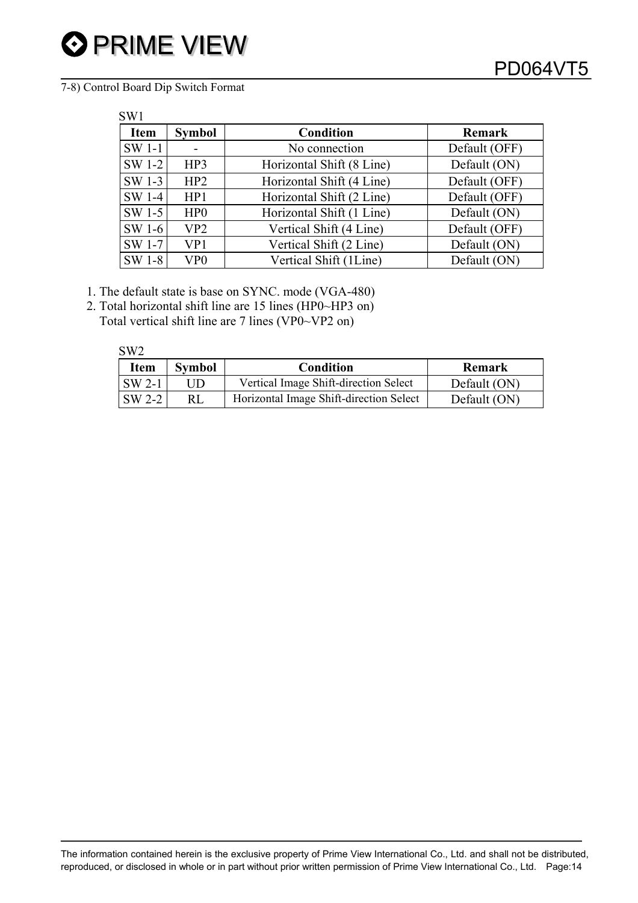7-8) Control Board Dip Switch Format

| <b>Item</b> | <b>Symbol</b>   | <b>Condition</b>          | <b>Remark</b> |
|-------------|-----------------|---------------------------|---------------|
| SW 1-1      |                 | No connection             | Default (OFF) |
| SW 1-2      | HP3             | Horizontal Shift (8 Line) | Default (ON)  |
| SW 1-3      | HP2             | Horizontal Shift (4 Line) | Default (OFF) |
| SW 1-4      | HP1             | Horizontal Shift (2 Line) | Default (OFF) |
| SW 1-5      | HP <sub>0</sub> | Horizontal Shift (1 Line) | Default (ON)  |
| SW 1-6      | VP <sub>2</sub> | Vertical Shift (4 Line)   | Default (OFF) |
| SW 1-7      | VP1             | Vertical Shift (2 Line)   | Default (ON)  |
| SW 1-8      | VP <sub>0</sub> | Vertical Shift (1Line)    | Default (ON)  |

- 1. The default state is base on SYNC. mode (VGA-480)
- 2. Total horizontal shift line are 15 lines (HP0~HP3 on) Total vertical shift line are 7 lines (VP0~VP2 on)

| SW <sub>2</sub> |
|-----------------|
|                 |

| <b>Item</b>        | <b>Symbol</b> | Condition                               | <b>Remark</b> |
|--------------------|---------------|-----------------------------------------|---------------|
| $\mathsf{SW}\,2-1$ | JD            | Vertical Image Shift-direction Select   | Default (ON)  |
| SW 2-2             |               | Horizontal Image Shift-direction Select | Default (ON)  |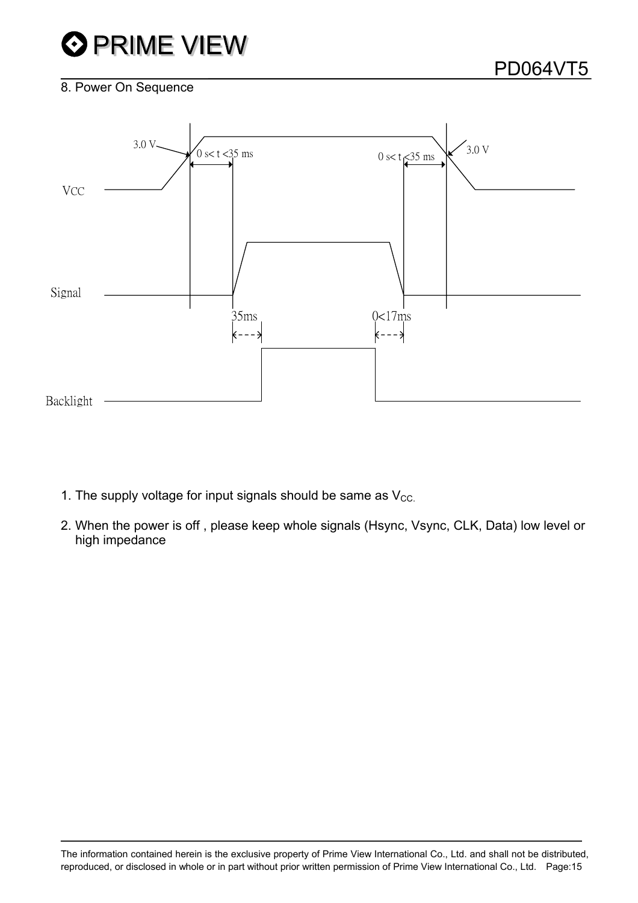## **O** PRIME VIEW

#### 8. Power On Sequence



- 1. The supply voltage for input signals should be same as  $V_{CC}$ .
- 2. When the power is off , please keep whole signals (Hsync, Vsync, CLK, Data) low level or high impedance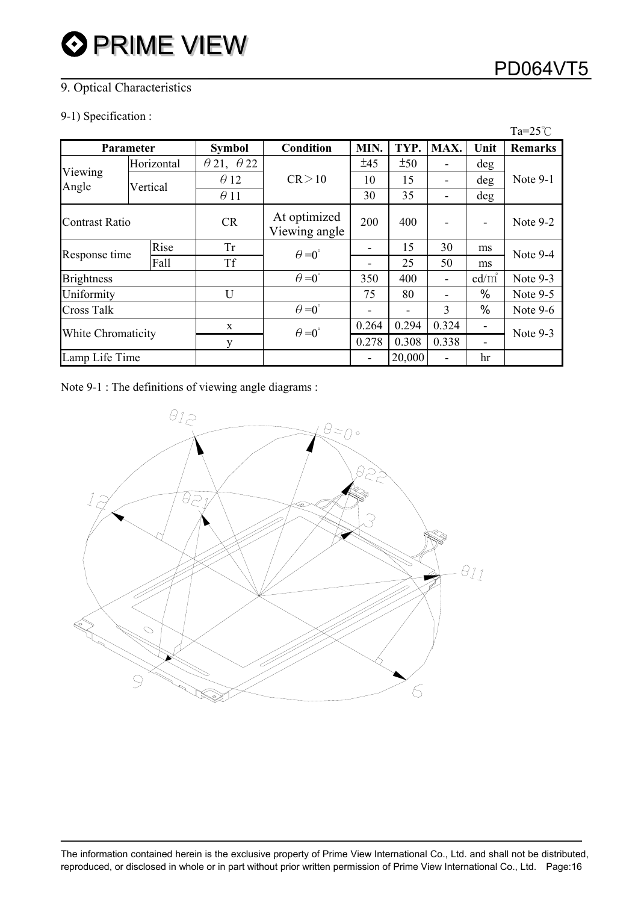### 9. Optical Characteristics

#### 9-1) Specification :

|                    |  |            |                               |                      |       |        |      |                 | $Ta = 25^{\circ}C$ |  |
|--------------------|--|------------|-------------------------------|----------------------|-------|--------|------|-----------------|--------------------|--|
| <b>Parameter</b>   |  |            | <b>Symbol</b>                 | Condition            | MIN.  | TYP.   | MAX. | Unit            | <b>Remarks</b>     |  |
|                    |  | Horizontal | $\theta$ 21, $\theta$ 22      |                      | ±45   | ±50    | ۰    | deg             |                    |  |
| Viewing<br>Angle   |  | Vertical   | $\theta$ 12                   | CR > 10              | 10    | 15     | ۰    | deg             | Note 9-1           |  |
|                    |  |            | $\theta$ 11                   |                      | 30    | 35     | -    | deg             |                    |  |
| Contrast Ratio     |  | CR         | At optimized<br>Viewing angle | 200                  | 400   | ۰      | ۰    | Note 9-2        |                    |  |
|                    |  | Rise       | <b>Tr</b>                     | $\theta = 0^{\circ}$ |       | 15     | 30   | ms              | Note 9-4           |  |
| Response time      |  | Fall       | <b>Tf</b>                     |                      |       | 25     | 50   | ms              |                    |  |
| <b>Brightness</b>  |  |            |                               | $\theta = 0^{\circ}$ | 350   | 400    | -    | $\text{cd/m}^2$ | Note 9-3           |  |
| Uniformity         |  |            | U                             |                      | 75    | 80     | ۰    | $\%$            | Note $9-5$         |  |
| <b>Cross Talk</b>  |  |            |                               | $\theta = 0^{\circ}$ |       |        | 3    | $\%$            | Note $9-6$         |  |
| White Chromaticity |  | X          | $\theta = 0^{\circ}$          | 0.264                | 0.294 | 0.324  | ۰    | Note 9-3        |                    |  |
|                    |  | y          |                               | 0.278                | 0.308 | 0.338  |      |                 |                    |  |
| Lamp Life Time     |  |            |                               |                      | ۰     | 20,000 |      | hr              |                    |  |

Note 9-1 : The definitions of viewing angle diagrams :

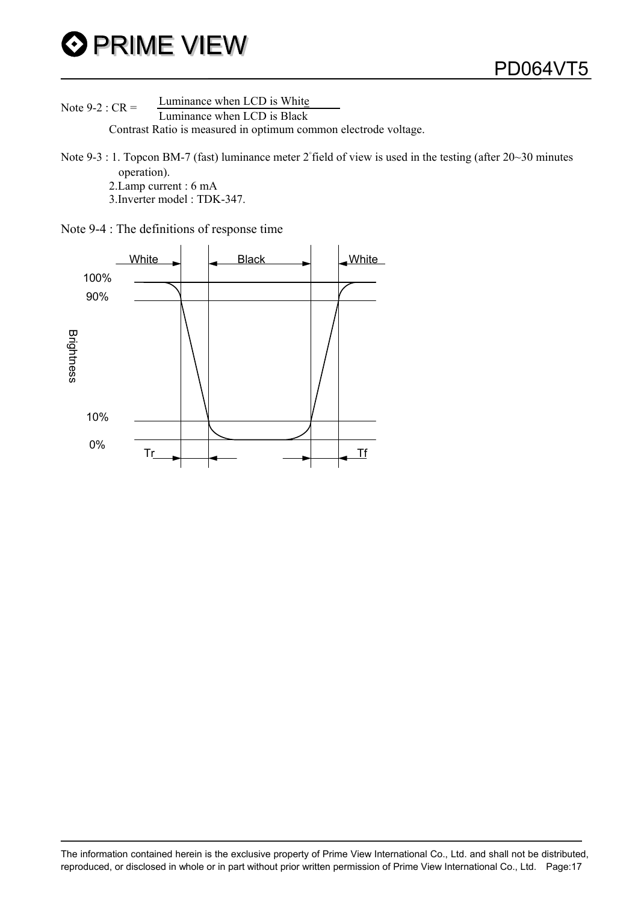

Note 9-2 :  $CR =$  Luminance when LCD is White Contrast Ratio is measured in optimum common electrode voltage.

Note 9-3 : 1. Topcon BM-7 (fast) luminance meter 2°field of view is used in the testing (after 20~30 minutes operation).

- 2.Lamp current : 6 mA
- 3.Inverter model : TDK-347.

Note 9-4 : The definitions of response time

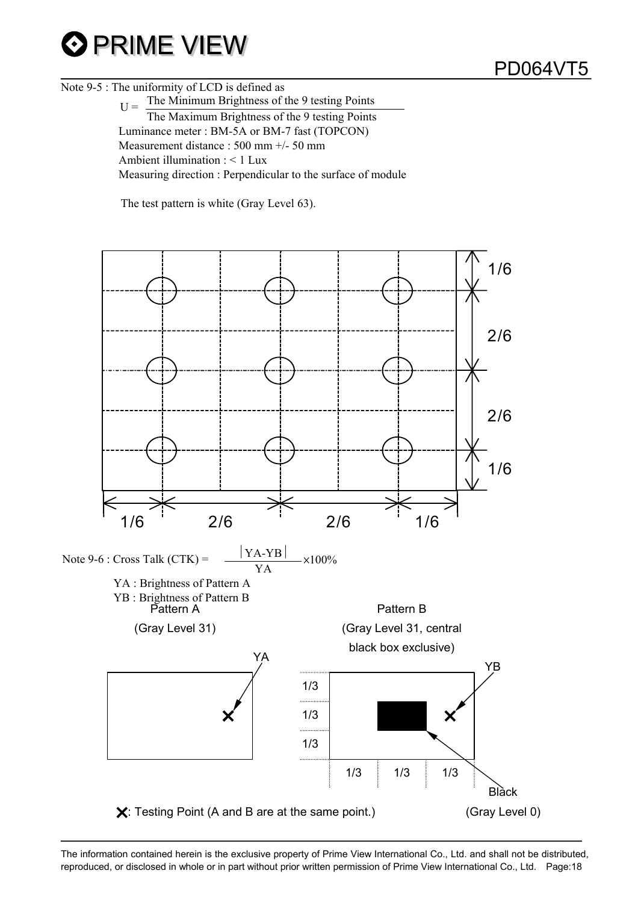## **O PRIME VIEW**

Note 9-5 : The uniformity of LCD is defined as

 $H =$  The Minimum Brightness of the 9 testing Points The Maximum Brightness of the 9 testing Points Luminance meter : BM-5A or BM-7 fast (TOPCON) Measurement distance : 500 mm +/- 50 mm Ambient illumination : < 1 Lux Measuring direction : Perpendicular to the surface of module

The test pattern is white (Gray Level 63).

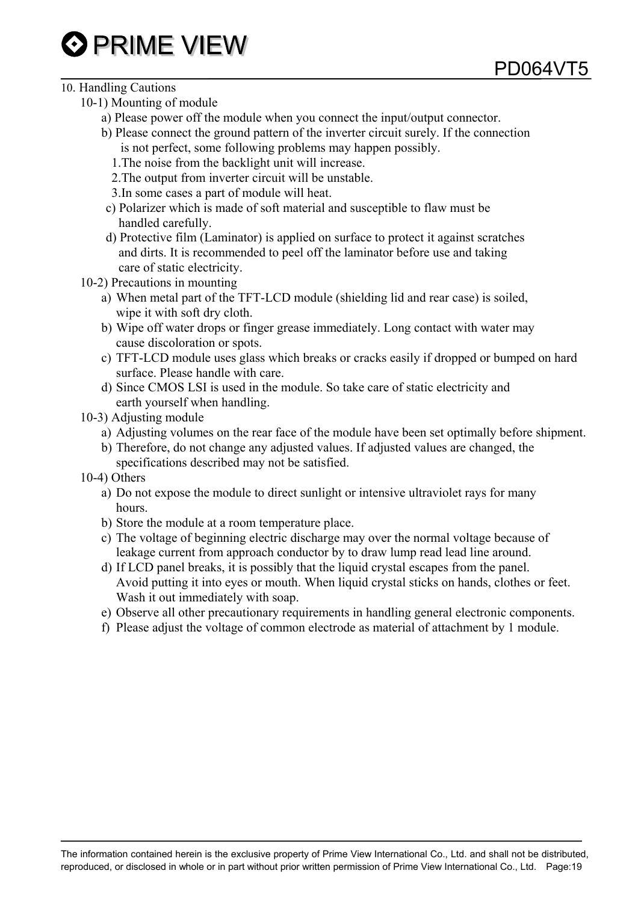- 10. Handling Cautions
	- 10-1) Mounting of module
		- a) Please power off the module when you connect the input/output connector.
		- b) Please connect the ground pattern of the inverter circuit surely. If the connection is not perfect, some following problems may happen possibly.

PD064VT5

- 1.The noise from the backlight unit will increase.
- 2.The output from inverter circuit will be unstable.
- 3.In some cases a part of module will heat.
- c) Polarizer which is made of soft material and susceptible to flaw must be handled carefully.
- d) Protective film (Laminator) is applied on surface to protect it against scratches and dirts. It is recommended to peel off the laminator before use and taking care of static electricity.
- 10-2) Precautions in mounting
	- a) When metal part of the TFT-LCD module (shielding lid and rear case) is soiled, wipe it with soft dry cloth.
	- b) Wipe off water drops or finger grease immediately. Long contact with water may cause discoloration or spots.
	- c) TFT-LCD module uses glass which breaks or cracks easily if dropped or bumped on hard surface. Please handle with care.
	- d) Since CMOS LSI is used in the module. So take care of static electricity and earth yourself when handling.
- 10-3) Adjusting module
	- a) Adjusting volumes on the rear face of the module have been set optimally before shipment.
	- b) Therefore, do not change any adjusted values. If adjusted values are changed, the specifications described may not be satisfied.
- 10-4) Others
	- a) Do not expose the module to direct sunlight or intensive ultraviolet rays for many hours.
	- b) Store the module at a room temperature place.
	- c) The voltage of beginning electric discharge may over the normal voltage because of leakage current from approach conductor by to draw lump read lead line around.
	- d) If LCD panel breaks, it is possibly that the liquid crystal escapes from the panel. Avoid putting it into eyes or mouth. When liquid crystal sticks on hands, clothes or feet. Wash it out immediately with soap.
	- e) Observe all other precautionary requirements in handling general electronic components.
	- f) Please adjust the voltage of common electrode as material of attachment by 1 module.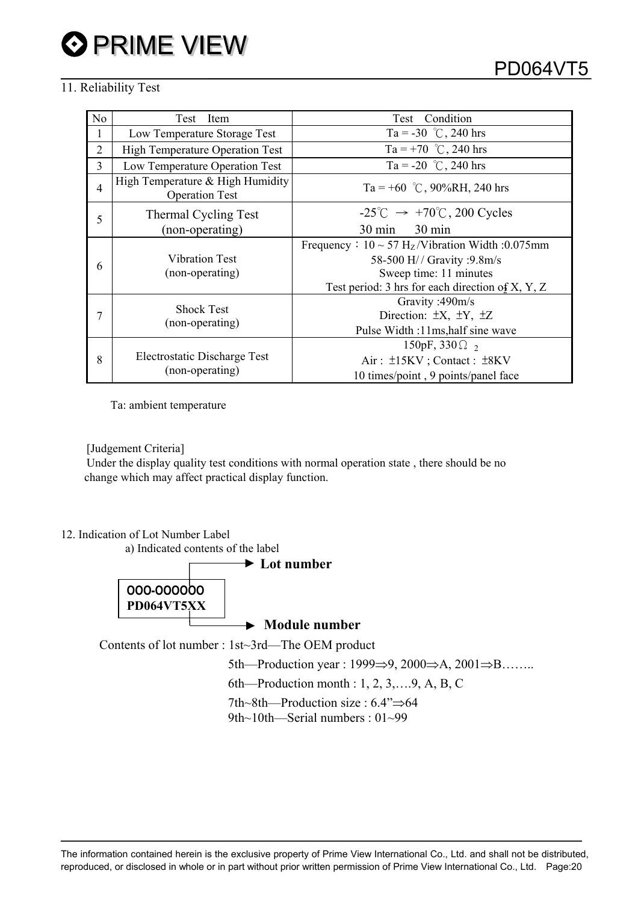#### 11. Reliability Test

| N <sub>o</sub> | Test<br>Item                                              | Test Condition                                                                                                                                                            |
|----------------|-----------------------------------------------------------|---------------------------------------------------------------------------------------------------------------------------------------------------------------------------|
| 1              | Low Temperature Storage Test                              | Ta = -30 °C, 240 hrs                                                                                                                                                      |
| $\overline{2}$ | <b>High Temperature Operation Test</b>                    | Ta = +70 °C, 240 hrs                                                                                                                                                      |
| 3              | Low Temperature Operation Test                            | Ta = -20 °C, 240 hrs                                                                                                                                                      |
| $\overline{4}$ | High Temperature & High Humidity<br><b>Operation Test</b> | Ta = +60 °C, 90%RH, 240 hrs                                                                                                                                               |
| 5              | Thermal Cycling Test                                      | $-25^{\circ}$ C $\rightarrow +70^{\circ}$ C, 200 Cycles                                                                                                                   |
|                | (non-operating)                                           | $30 \text{ min}$<br>$30 \text{ min}$                                                                                                                                      |
| 6              | <b>Vibration Test</b><br>(non-operating)                  | Frequency: $10 \sim 57 \text{ H}_z$ /Vibration Width: 0.075mm<br>58-500 H// Gravity :9.8m/s<br>Sweep time: 11 minutes<br>Test period: 3 hrs for each direction of X, Y, Z |
|                | <b>Shock Test</b><br>(non-operating)                      | Gravity: 490m/s<br>Direction: $\pm X$ , $\pm Y$ , $\pm Z$<br>Pulse Width: 11ms, half sine wave                                                                            |
| 8              | Electrostatic Discharge Test<br>(non-operating)           | 150pF, 330 $\Omega_2$<br>Air: $\pm$ 15KV; Contact: $\pm$ 8KV<br>10 times/point, 9 points/panel face                                                                       |

Ta: ambient temperature

[Judgement Criteria]

 Under the display quality test conditions with normal operation state , there should be no change which may affect practical display function.

12. Indication of Lot Number Label

a) Indicated contents of the label



 **Module number** 

Contents of lot number : 1st~3rd—The OEM product

5th—Production year : 1999 $\Rightarrow$ 9, 2000 $\Rightarrow$ A, 2001 $\Rightarrow$ B……..

6th—Production month : 1, 2, 3,….9, A, B, C

7th~8th—Production size :  $6.4$ " $\Rightarrow$  64

9th~10th—Serial numbers : 01~99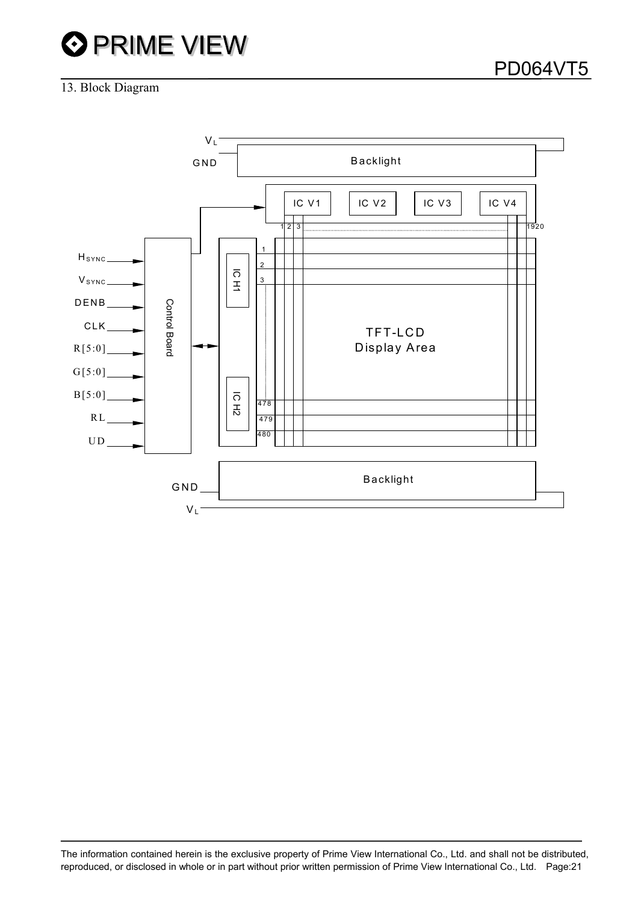# **OPRIME VIEW**

PD064VT5

#### 13. Block Diagram

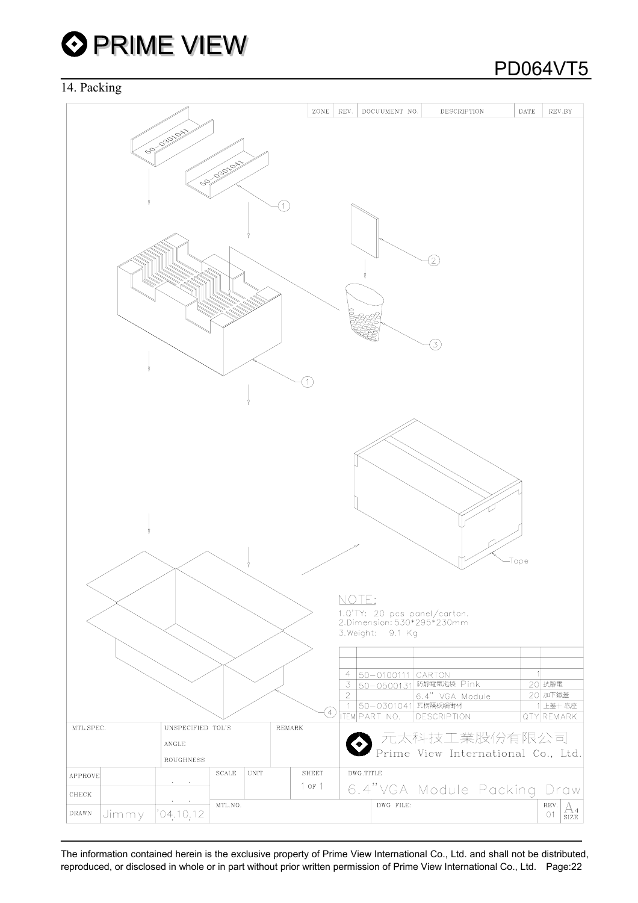

#### 14. Packing

## PD064VT5

|                |                                                | ZONE         | REV.           | DOCUUMENT NO.                                                                   | DESCRIPTION                        | <b>DATE</b> | REV.BY                                                  |
|----------------|------------------------------------------------|--------------|----------------|---------------------------------------------------------------------------------|------------------------------------|-------------|---------------------------------------------------------|
| B              | <b>03010A</b><br><b>03010A</b><br>so           |              |                |                                                                                 | $\left[2\right]$<br>3)             |             |                                                         |
|                |                                                |              | NOTE:          | 1.Q'TY: 20 pcs panel/carton.<br>2.Dimension: 530*295*230mm<br>3. Weight: 9.1 Kg |                                    | -Tape       |                                                         |
|                |                                                |              |                |                                                                                 |                                    |             |                                                         |
|                |                                                |              | 4              | $50 - 0100111$ CARTON                                                           |                                    |             |                                                         |
|                |                                                |              |                |                                                                                 | 3 50-0500131 防静電氣泡袋 Pink           |             | 20 抗靜電                                                  |
|                |                                                |              | $\overline{2}$ | 1 50-0301041 瓦楞隔板緩衝材                                                            | 6.4" VGA Module                    |             | 20 加下鐵蓋<br>上蓋+ 底座                                       |
|                |                                                | Ð            |                | <b>ITEM PART NO.</b>                                                            | <b>DESCRIPTION</b>                 |             | QTY REMARK                                              |
| MTL.SPEC.      | UNSPECIFIED TOL'S                              | REMARK       |                |                                                                                 |                                    |             |                                                         |
|                | ANGLE                                          |              |                |                                                                                 | 元太科技工業股份有限公司                       |             |                                                         |
|                | ROUGHNESS                                      |              |                |                                                                                 | Prime View International Co., Ltd. |             |                                                         |
| APPROVE        | $\operatorname{\mathsf{SCALE}}$<br><b>UNIT</b> | <b>SHEET</b> | DWG.TITLE      |                                                                                 |                                    |             |                                                         |
| CHECK          | $\bullet$<br>$\sim$ $\bullet$                  | $1$ or $1$   |                |                                                                                 | 6.4"VGA Module Packing Draw        |             |                                                         |
|                | MTL.NO.                                        |              |                | DWG FILE:                                                                       |                                    |             | REV.                                                    |
| DRAWN<br>Jimmy | 04.10.12                                       |              |                |                                                                                 |                                    |             | $\mathop{\mathrm{A}}_{\mathrm{size}}$<br>O <sub>1</sub> |